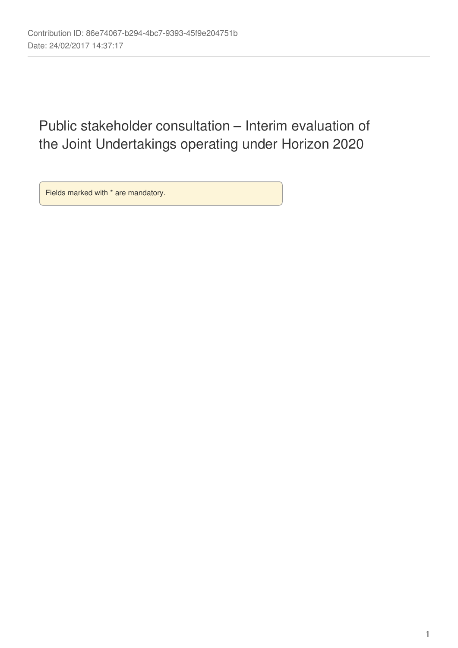# Public stakeholder consultation – Interim evaluation of the Joint Undertakings operating under Horizon 2020

Fields marked with \* are mandatory.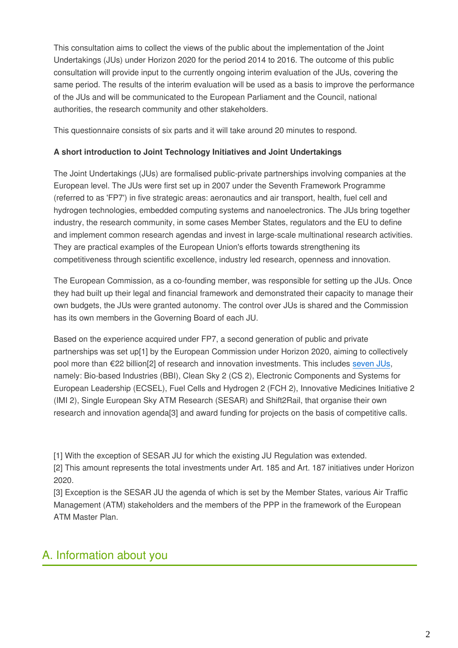This consultation aims to collect the views of the public about the implementation of the Joint Undertakings (JUs) under Horizon 2020 for the period 2014 to 2016. The outcome of this public consultation will provide input to the currently ongoing interim evaluation of the JUs, covering the same period. The results of the interim evaluation will be used as a basis to improve the performance of the JUs and will be communicated to the European Parliament and the Council, national authorities, the research community and other stakeholders.

This questionnaire consists of six parts and it will take around 20 minutes to respond.

# **A short introduction to Joint Technology Initiatives and Joint Undertakings**

The Joint Undertakings (JUs) are formalised public-private partnerships involving companies at the European level. The JUs were first set up in 2007 under the Seventh Framework Programme (referred to as 'FP7') in five strategic areas: aeronautics and air transport, health, fuel cell and hydrogen technologies, embedded computing systems and nanoelectronics. The JUs bring together industry, the research community, in some cases Member States, regulators and the EU to define and implement common research agendas and invest in large-scale multinational research activities. They are practical examples of the European Union's efforts towards strengthening its competitiveness through scientific excellence, industry led research, openness and innovation.

The European Commission, as a co-founding member, was responsible for setting up the JUs. Once they had built up their legal and financial framework and demonstrated their capacity to manage their own budgets, the JUs were granted autonomy. The control over JUs is shared and the Commission has its own members in the Governing Board of each JU.

Based on the experience acquired under FP7, a second generation of public and private partnerships was set up[1] by the European Commission under Horizon 2020, aiming to collectively pool more than €22 billion[2] of research and innovation investments. This includes [seven JUs,](http://ec.europa.eu/programmes/horizon2020/en/area/partnerships-industry-and-member-states) namely: Bio-based Industries (BBI), Clean Sky 2 (CS 2), Electronic Components and Systems for European Leadership (ECSEL), Fuel Cells and Hydrogen 2 (FCH 2), Innovative Medicines Initiative 2 (IMI 2), Single European Sky ATM Research (SESAR) and Shift2Rail, that organise their own research and innovation agenda[3] and award funding for projects on the basis of competitive calls.

[1] With the exception of SESAR JU for which the existing JU Regulation was extended.

[2] This amount represents the total investments under Art. 185 and Art. 187 initiatives under Horizon 2020.

[3] Exception is the SESAR JU the agenda of which is set by the Member States, various Air Traffic Management (ATM) stakeholders and the members of the PPP in the framework of the European ATM Master Plan.

# A. Information about you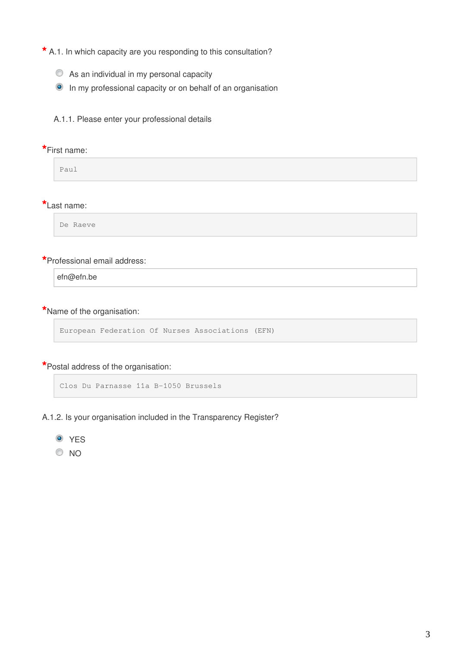**\*** A.1. In which capacity are you responding to this consultation?

- As an individual in my personal capacity
- In my professional capacity or on behalf of an organisation

A.1.1. Please enter your professional details

#### **\***First name:

Paul

### **\***Last name:

De Raeve

## **\***Professional email address:

efn@efn.be

# **\***Name of the organisation:

```
European Federation Of Nurses Associations (EFN)
```
#### **\***Postal address of the organisation:

Clos Du Parnasse 11a B-1050 Brussels

- A.1.2. Is your organisation included in the Transparency Register?
	- **O** YES
	- $\odot$  NO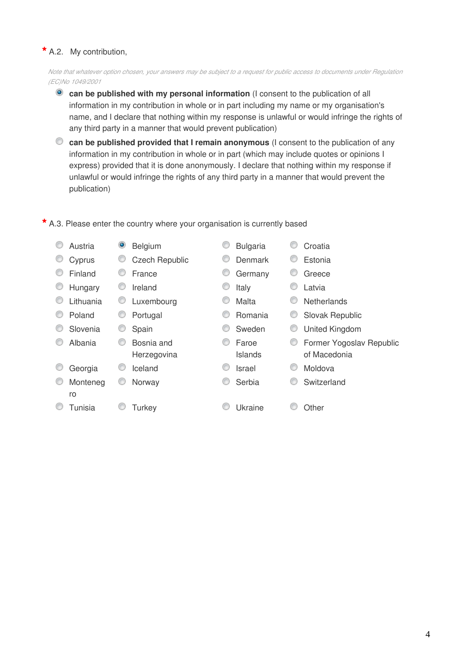# **\*** A.2. My contribution,

*Note that whatever option chosen, your answers may be subject to a request for public access to documents under Regulation (EC)No 1049/2001*

- **<sup>o</sup>** can be published with my personal information (I consent to the publication of all information in my contribution in whole or in part including my name or my organisation's name, and I declare that nothing within my response is unlawful or would infringe the rights of any third party in a manner that would prevent publication)
- **can be published provided that I remain anonymous** (I consent to the publication of any information in my contribution in whole or in part (which may include quotes or opinions I express) provided that it is done anonymously. I declare that nothing within my response if unlawful or would infringe the rights of any third party in a manner that would prevent the publication)

| Austria   | ۱ | Belgium                   |   | <b>Bulgaria</b>         |   | Croatia                                  |
|-----------|---|---------------------------|---|-------------------------|---|------------------------------------------|
| Cyprus    | C | <b>Czech Republic</b>     |   | Denmark                 |   | Estonia                                  |
| Finland   | O | France                    | C | Germany                 |   | Greece                                   |
| Hungary   | C | Ireland                   | C | Italy                   |   | Latvia                                   |
| Lithuania |   | Luxembourg                |   | Malta                   |   | <b>Netherlands</b>                       |
| Poland    |   | Portugal                  |   | <b>Romania</b>          |   | Slovak Republic                          |
| Slovenia  |   | Spain                     | O | Sweden                  |   | <b>United Kingdom</b>                    |
| Albania   | O | Bosnia and<br>Herzegovina | O | Faroe<br><b>Islands</b> | C | Former Yogoslav Republic<br>of Macedonia |
| Georgia   |   | Iceland                   |   | Israel                  |   | Moldova                                  |
| Monteneg  | C | Norway                    | O | Serbia                  |   | Switzerland                              |
| ro        |   |                           |   |                         |   |                                          |
| Tunisia   |   | Turkey                    |   | Ukraine                 |   | Other                                    |

**\*** A.3. Please enter the country where your organisation is currently based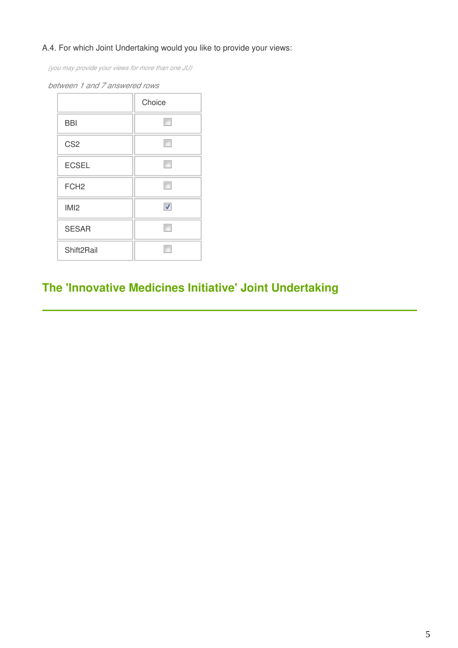# A.4. For which Joint Undertaking would you like to provide your views:

*(you may provide your views for more than one JU)*

|                        | Choice |
|------------------------|--------|
| <b>BBI</b>             |        |
| CS <sub>2</sub>        |        |
| <b>ECSEL</b>           |        |
| FCH <sub>2</sub>       |        |
| IM <sub>12</sub>       | ⊽      |
| <b>SESAR</b>           |        |
| Shift <sub>2Rail</sub> |        |

#### *between 1 and 7 answered rows*

# **The 'Innovative Medicines Initiative' Joint Undertaking**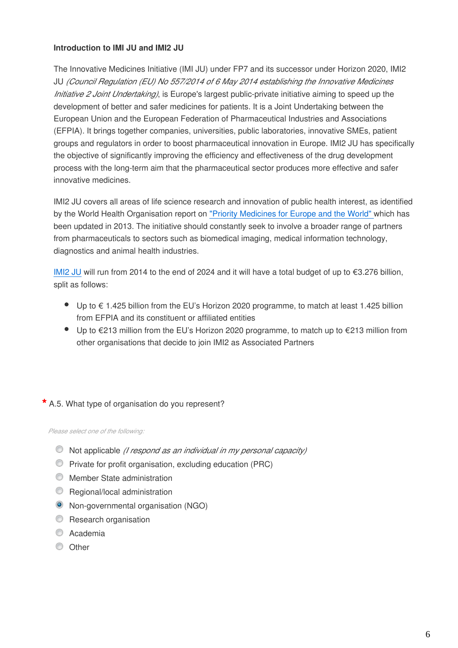## **Introduction to IMI JU and IMI2 JU**

The Innovative Medicines Initiative (IMI JU) under FP7 and its successor under Horizon 2020, IMI2 JU *(Council Regulation (EU) No 557/2014 of 6 May 2014 establishing the Innovative Medicines Initiative 2 Joint Undertaking)*, is Europe's largest public-private initiative aiming to speed up the development of better and safer medicines for patients. It is a Joint Undertaking between the European Union and the European Federation of Pharmaceutical Industries and Associations (EFPIA). It brings together companies, universities, public laboratories, innovative SMEs, patient groups and regulators in order to boost pharmaceutical innovation in Europe. IMI2 JU has specifically the objective of significantly improving the efficiency and effectiveness of the drug development process with the long-term aim that the pharmaceutical sector produces more effective and safer innovative medicines.

IMI2 JU covers all areas of life science research and innovation of public health interest, as identified by the World Health Organisation report on ["Priority Medicines for Europe and the World"](http://www.who.int/medicines/areas/priority_medicines/MasterDocJune28_FINAL_Web.pdf) which has been updated in 2013. The initiative should constantly seek to involve a broader range of partners from pharmaceuticals to sectors such as biomedical imaging, medical information technology, diagnostics and animal health industries.

[IMI2 JU](https://www.imi.europa.eu/) will run from 2014 to the end of 2024 and it will have a total budget of up to €3.276 billion, split as follows:

- Up to € 1.425 billion from the EU's Horizon 2020 programme, to match at least 1.425 billion from EFPIA and its constituent or affiliated entities
- $\bullet$  Up to €213 million from the EU's Horizon 2020 programme, to match up to €213 million from other organisations that decide to join IMI2 as Associated Partners

# **\*** A.5. What type of organisation do you represent?

*Please select one of the following:*

- Not applicable *(I respond as an individual in my personal capacity)*
- Private for profit organisation, excluding education (PRC)
- **Member State administration**
- **C** Regional/local administration
- Non-governmental organisation (NGO)
- **C** Research organisation
- C Academia
- O Other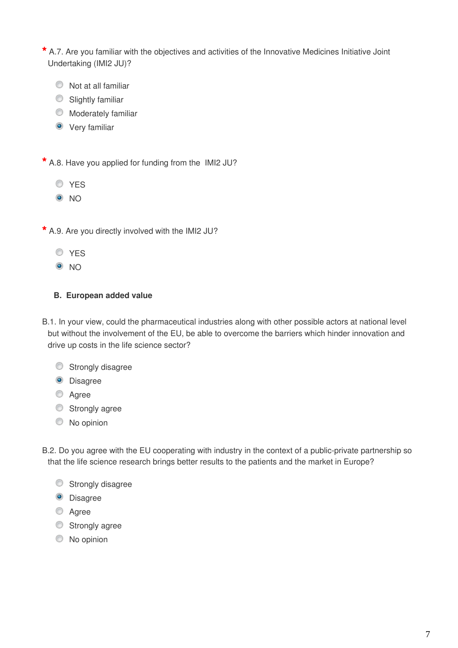**\*** A.7. Are you familiar with the objectives and activities of the Innovative Medicines Initiative Joint Undertaking (IMI2 JU)?

- Not at all familiar
- Slightly familiar
- **Moderately familiar**
- **O** Very familiar

**\*** A.8. Have you applied for funding from the IMI2 JU?

- **O**YES
- <sup>O</sup>NO
- **\*** A.9. Are you directly involved with the IMI2 JU?
	- **O**YES
	- $\odot$  NO

## **B. European added value**

- B.1. In your view, could the pharmaceutical industries along with other possible actors at national level but without the involvement of the EU, be able to overcome the barriers which hinder innovation and drive up costs in the life science sector?
	- Strongly disagree
	- <sup>O</sup> Disagree
	- C Agree
	- Strongly agree
	- $\circledcirc$  No opinion

B.2. Do you agree with the EU cooperating with industry in the context of a public-private partnership so that the life science research brings better results to the patients and the market in Europe?

- Strongly disagree
- **O** Disagree
- **Agree**
- Strongly agree
- C No opinion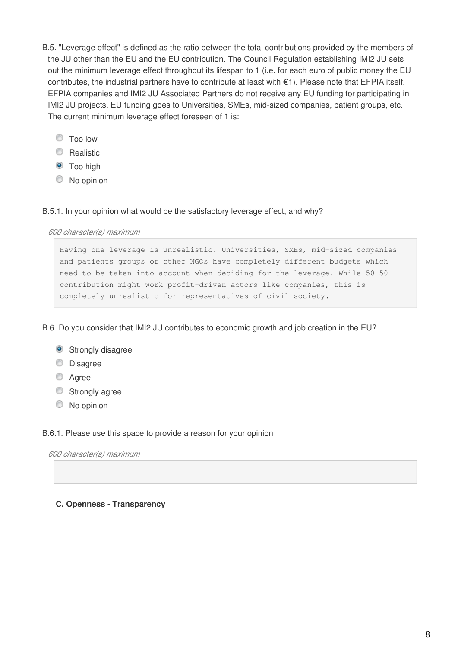- B.5. "Leverage effect" is defined as the ratio between the total contributions provided by the members of the JU other than the EU and the EU contribution. The Council Regulation establishing IMI2 JU sets out the minimum leverage effect throughout its lifespan to 1 (i.e. for each euro of public money the EU contributes, the industrial partners have to contribute at least with €1). Please note that EFPIA itself, EFPIA companies and IMI2 JU Associated Partners do not receive any EU funding for participating in IMI2 JU projects. EU funding goes to Universities, SMEs, mid-sized companies, patient groups, etc. The current minimum leverage effect foreseen of 1 is:
	- Too low
	- C Realistic
	- $\bullet$  Too high
	- $\circledcirc$  No opinion

#### B.5.1. In your opinion what would be the satisfactory leverage effect, and why?

#### *600 character(s) maximum*

Having one leverage is unrealistic. Universities, SMEs, mid-sized companies and patients groups or other NGOs have completely different budgets which need to be taken into account when deciding for the leverage. While 50-50 contribution might work profit-driven actors like companies, this is completely unrealistic for representatives of civil society.

B.6. Do you consider that IMI2 JU contributes to economic growth and job creation in the EU?

- **Strongly disagree**
- **Disagree**
- C Agree
- **Strongly agree**
- $\circledcirc$  No opinion

#### B.6.1. Please use this space to provide a reason for your opinion

*600 character(s) maximum*

#### **C. Openness - Transparency**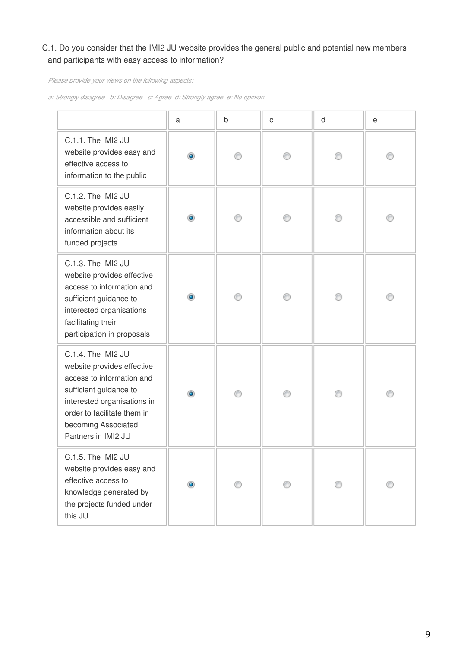# C.1. Do you consider that the IMI2 JU website provides the general public and potential new members and participants with easy access to information?

*Please provide your views on the following aspects:*

*a: Strongly disagree b: Disagree c: Agree d: Strongly agree e: No opinion*

|                                                                                                                                                                                                                     | а         | b | $\mathsf{C}$ | d | е |
|---------------------------------------------------------------------------------------------------------------------------------------------------------------------------------------------------------------------|-----------|---|--------------|---|---|
| C.1.1. The IMI2 JU<br>website provides easy and<br>effective access to<br>information to the public                                                                                                                 | ۰         |   |              |   |   |
| C.1.2. The IMI2 JU<br>website provides easily<br>accessible and sufficient<br>information about its<br>funded projects                                                                                              | ۰         | ∩ |              |   |   |
| C.1.3. The IMI2 JU<br>website provides effective<br>access to information and<br>sufficient guidance to<br>interested organisations<br>facilitating their<br>participation in proposals                             | $\bullet$ | ∩ | ∩            |   |   |
| C.1.4. The IMI2 JU<br>website provides effective<br>access to information and<br>sufficient guidance to<br>interested organisations in<br>order to facilitate them in<br>becoming Associated<br>Partners in IMI2 JU | $\bullet$ |   |              |   |   |
| C.1.5. The IMI2 JU<br>website provides easy and<br>effective access to<br>knowledge generated by<br>the projects funded under<br>this JU                                                                            | $\bullet$ |   |              |   |   |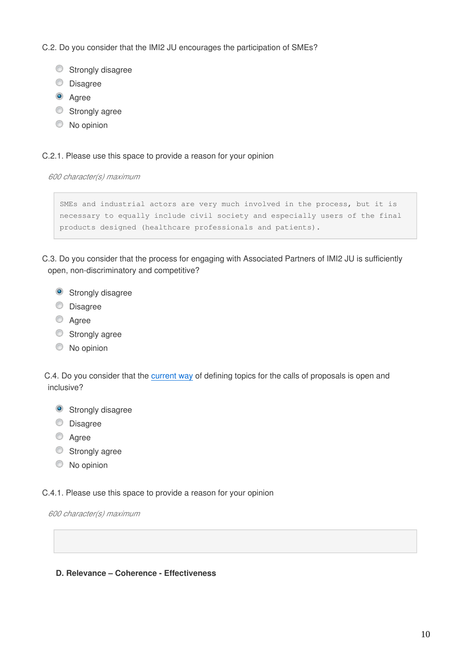C.2. Do you consider that the IMI2 JU encourages the participation of SMEs?

- Strongly disagree
- **Disagree**
- <sup>O</sup> Agree
- Strongly agree
- C No opinion

#### C.2.1. Please use this space to provide a reason for your opinion

*600 character(s) maximum*

```
SMEs and industrial actors are very much involved in the process, but it is 
necessary to equally include civil society and especially users of the final 
products designed (healthcare professionals and patients).
```
C.3. Do you consider that the process for engaging with Associated Partners of IMI2 JU is sufficiently open, non-discriminatory and competitive?

- **Strongly disagree**
- **Disagree**
- <sup>O</sup> Agree
- Strongly agree
- $\circledcirc$  No opinion

C.4. Do you consider that the [current way](http://www.imi.europa.eu/content/how-imi-works) of defining topics for the calls of proposals is open and inclusive?

- **Strongly disagree**
- **Disagree**
- <sup>O</sup> Agree
- Strongly agree
- $\circledcirc$  No opinion

C.4.1. Please use this space to provide a reason for your opinion

*600 character(s) maximum*

#### **D. Relevance – Coherence - Effectiveness**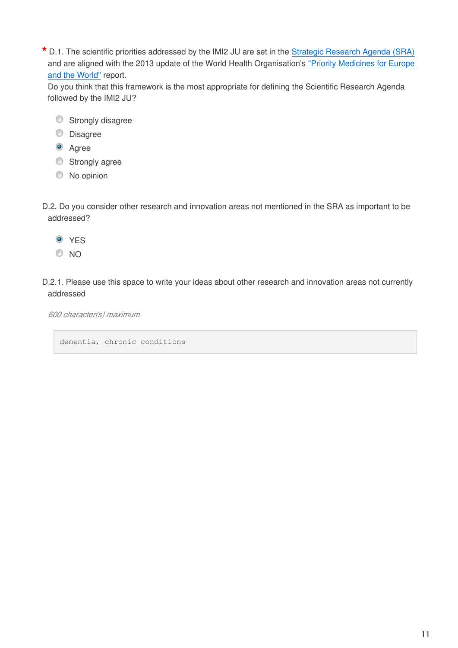**\*** D.1. The scientific priorities addressed by the IMI2 JU are set in the [Strategic Research Agenda \(SRA\)](http://www.imi.europa.eu/content/research-agenda) and are aligned with the 2013 update of the World Health Organisation's ["Priority Medicines for Europe](https://ec.europa.eu/eusurvey/www.who.int/medicines/areas/priority_medicines/MasterDocJune28_FINAL_Web.pdf)  [and the World"](https://ec.europa.eu/eusurvey/www.who.int/medicines/areas/priority_medicines/MasterDocJune28_FINAL_Web.pdf) report.

Do you think that this framework is the most appropriate for defining the Scientific Research Agenda followed by the IMI2 JU?

- Strongly disagree
- **Disagree**
- <sup>O</sup> Agree
- Strongly agree
- $\circledcirc$  No opinion
- D.2. Do you consider other research and innovation areas not mentioned in the SRA as important to be addressed?
	- <sup>O</sup> YES
	- <sup>O</sup>NO
- D.2.1. Please use this space to write your ideas about other research and innovation areas not currently addressed

*600 character(s) maximum*

dementia, chronic conditions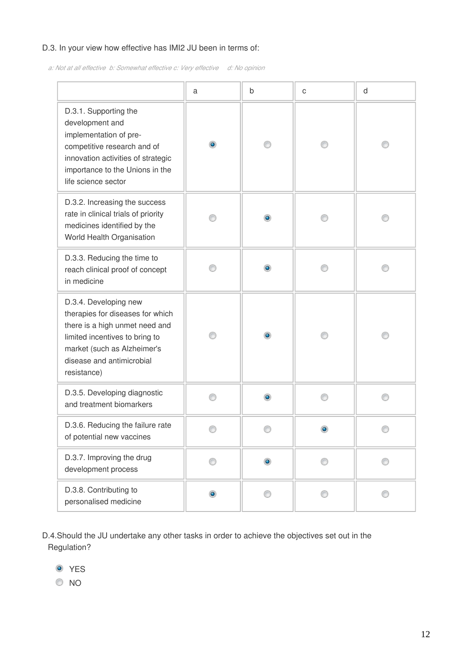# D.3. In your view how effective has IMI2 JU been in terms of:

*a: Not at all effective b: Somewhat effective c: Very effective d: No opinion*

|                                                                                                                                                                                                          | a              | b         | C         | d |
|----------------------------------------------------------------------------------------------------------------------------------------------------------------------------------------------------------|----------------|-----------|-----------|---|
| D.3.1. Supporting the<br>development and<br>implementation of pre-<br>competitive research and of<br>innovation activities of strategic<br>importance to the Unions in the<br>life science sector        | $\circledcirc$ |           |           |   |
| D.3.2. Increasing the success<br>rate in clinical trials of priority<br>medicines identified by the<br>World Health Organisation                                                                         |                |           |           |   |
| D.3.3. Reducing the time to<br>reach clinical proof of concept<br>in medicine                                                                                                                            |                | ۰         |           |   |
| D.3.4. Developing new<br>therapies for diseases for which<br>there is a high unmet need and<br>limited incentives to bring to<br>market (such as Alzheimer's<br>disease and antimicrobial<br>resistance) |                | ۰         |           |   |
| D.3.5. Developing diagnostic<br>and treatment biomarkers                                                                                                                                                 | ⋒              |           |           |   |
| D.3.6. Reducing the failure rate<br>of potential new vaccines                                                                                                                                            | O              | ⊙         | $\bullet$ | ⊙ |
| D.3.7. Improving the drug<br>development process                                                                                                                                                         | ⋒              | $\bullet$ | ∩         | ⋒ |
| D.3.8. Contributing to<br>personalised medicine                                                                                                                                                          | $\bullet$      | ∩         |           |   |

D.4.Should the JU undertake any other tasks in order to achieve the objectives set out in the Regulation?

- <sup>O</sup> YES
- $\circ$  NO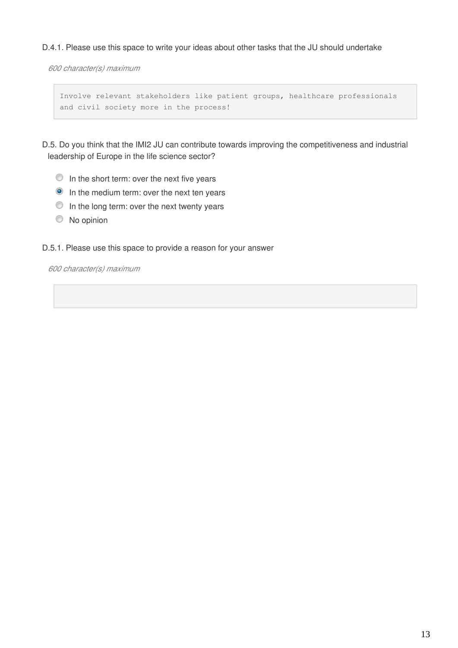D.4.1. Please use this space to write your ideas about other tasks that the JU should undertake

*600 character(s) maximum*

```
Involve relevant stakeholders like patient groups, healthcare professionals 
and civil society more in the process!
```
D.5. Do you think that the IMI2 JU can contribute towards improving the competitiveness and industrial leadership of Europe in the life science sector?

- $\bullet$  In the short term: over the next five years
- **In the medium term: over the next ten years**
- $\bullet$  In the long term: over the next twenty years
- $\circledcirc$  No opinion

D.5.1. Please use this space to provide a reason for your answer

*600 character(s) maximum*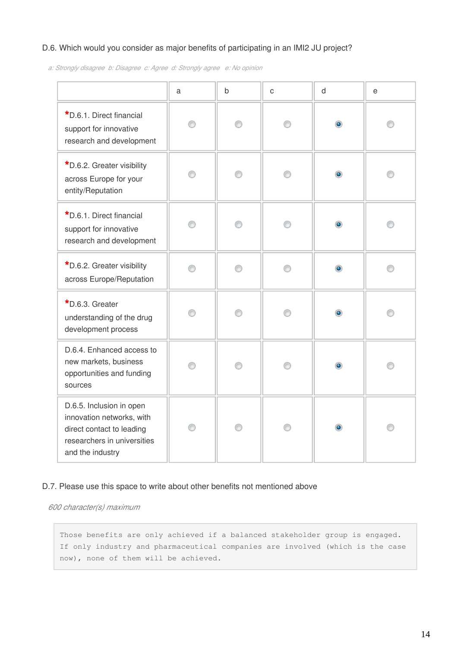# D.6. Which would you consider as major benefits of participating in an IMI2 JU project?

*a: Strongly disagree b: Disagree c: Agree d: Strongly agree e: No opinion*

|                                                                                                                                       | a | b | C | d              | е |
|---------------------------------------------------------------------------------------------------------------------------------------|---|---|---|----------------|---|
| *D.6.1. Direct financial<br>support for innovative<br>research and development                                                        | ⊙ | ∩ | ∩ | $\bullet$      | ∩ |
| *D.6.2. Greater visibility<br>across Europe for your<br>entity/Reputation                                                             | ⊙ | ⊙ | ⊙ | $\circledcirc$ |   |
| *D.6.1. Direct financial<br>support for innovative<br>research and development                                                        | ⊙ | ∩ | ∩ | $\bullet$      |   |
| *D.6.2. Greater visibility<br>across Europe/Reputation                                                                                | 0 | ∩ | ∩ | $\bullet$      | ∩ |
| *D.6.3. Greater<br>understanding of the drug<br>development process                                                                   | ∩ | ∩ | ⋒ | $\bullet$      |   |
| D.6.4. Enhanced access to<br>new markets, business<br>opportunities and funding<br>sources                                            | ⊙ | ∩ |   | $\bullet$      |   |
| D.6.5. Inclusion in open<br>innovation networks, with<br>direct contact to leading<br>researchers in universities<br>and the industry | ∩ | ∩ |   | $\circledcirc$ |   |

#### D.7. Please use this space to write about other benefits not mentioned above

*600 character(s) maximum*

Those benefits are only achieved if a balanced stakeholder group is engaged. If only industry and pharmaceutical companies are involved (which is the case now), none of them will be achieved.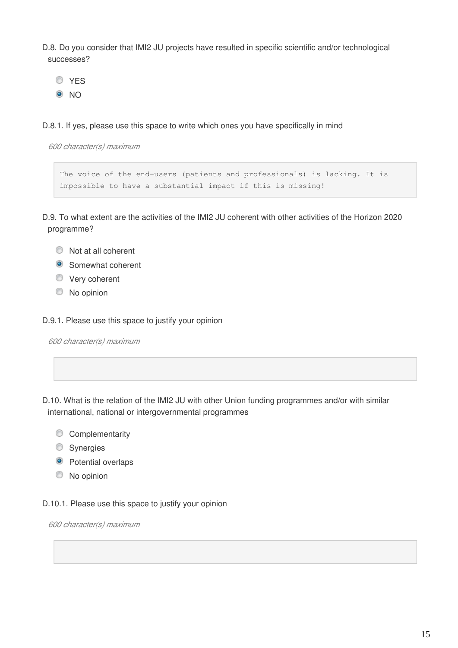D.8. Do you consider that IMI2 JU projects have resulted in specific scientific and/or technological successes?

**O**YES <sup>O</sup>NO

D.8.1. If yes, please use this space to write which ones you have specifically in mind

*600 character(s) maximum*

```
The voice of the end-users (patients and professionals) is lacking. It is 
impossible to have a substantial impact if this is missing!
```
D.9. To what extent are the activities of the IMI2 JU coherent with other activities of the Horizon 2020 programme?

- $\bullet$  Not at all coherent
- **Somewhat coherent**
- **Very coherent**
- $\circledcirc$  No opinion

D.9.1. Please use this space to justify your opinion

*600 character(s) maximum*

D.10. What is the relation of the IMI2 JU with other Union funding programmes and/or with similar international, national or intergovernmental programmes

- Complementarity
- **Synergies**
- <sup>O</sup> Potential overlaps
- $\bullet$  No opinion

D.10.1. Please use this space to justify your opinion

*600 character(s) maximum*